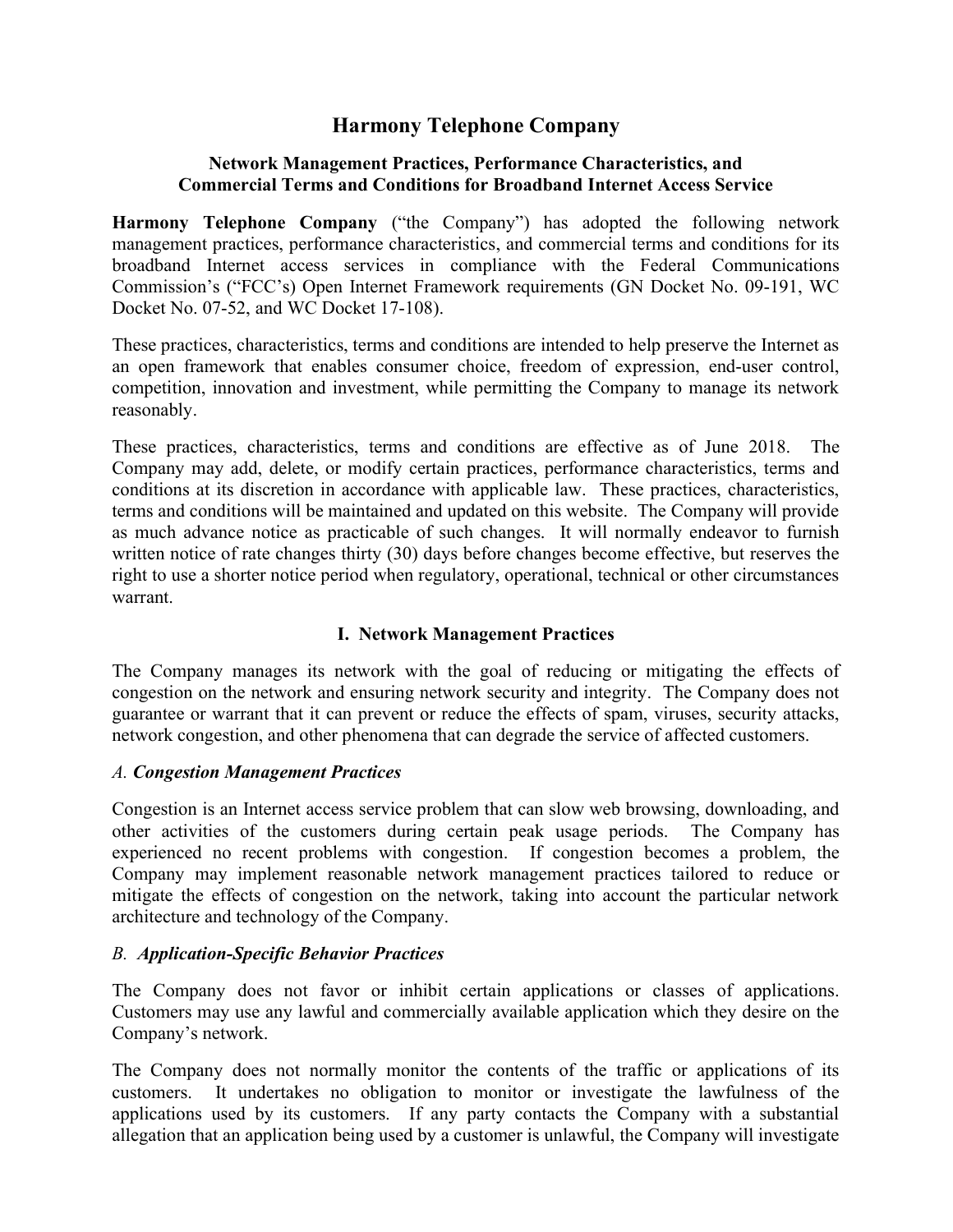# Harmony Telephone Company

#### Network Management Practices, Performance Characteristics, and Commercial Terms and Conditions for Broadband Internet Access Service

Harmony Telephone Company ("the Company") has adopted the following network management practices, performance characteristics, and commercial terms and conditions for its broadband Internet access services in compliance with the Federal Communications Commission's ("FCC's) Open Internet Framework requirements (GN Docket No. 09-191, WC Docket No. 07-52, and WC Docket 17-108).

These practices, characteristics, terms and conditions are intended to help preserve the Internet as an open framework that enables consumer choice, freedom of expression, end-user control, competition, innovation and investment, while permitting the Company to manage its network reasonably.

These practices, characteristics, terms and conditions are effective as of June 2018. The Company may add, delete, or modify certain practices, performance characteristics, terms and conditions at its discretion in accordance with applicable law. These practices, characteristics, terms and conditions will be maintained and updated on this website. The Company will provide as much advance notice as practicable of such changes. It will normally endeavor to furnish written notice of rate changes thirty (30) days before changes become effective, but reserves the right to use a shorter notice period when regulatory, operational, technical or other circumstances warrant.

## I. Network Management Practices

The Company manages its network with the goal of reducing or mitigating the effects of congestion on the network and ensuring network security and integrity. The Company does not guarantee or warrant that it can prevent or reduce the effects of spam, viruses, security attacks, network congestion, and other phenomena that can degrade the service of affected customers.

#### A. Congestion Management Practices

Congestion is an Internet access service problem that can slow web browsing, downloading, and other activities of the customers during certain peak usage periods. The Company has experienced no recent problems with congestion. If congestion becomes a problem, the Company may implement reasonable network management practices tailored to reduce or mitigate the effects of congestion on the network, taking into account the particular network architecture and technology of the Company.

#### B. Application-Specific Behavior Practices

The Company does not favor or inhibit certain applications or classes of applications. Customers may use any lawful and commercially available application which they desire on the Company's network.

The Company does not normally monitor the contents of the traffic or applications of its customers. It undertakes no obligation to monitor or investigate the lawfulness of the applications used by its customers. If any party contacts the Company with a substantial allegation that an application being used by a customer is unlawful, the Company will investigate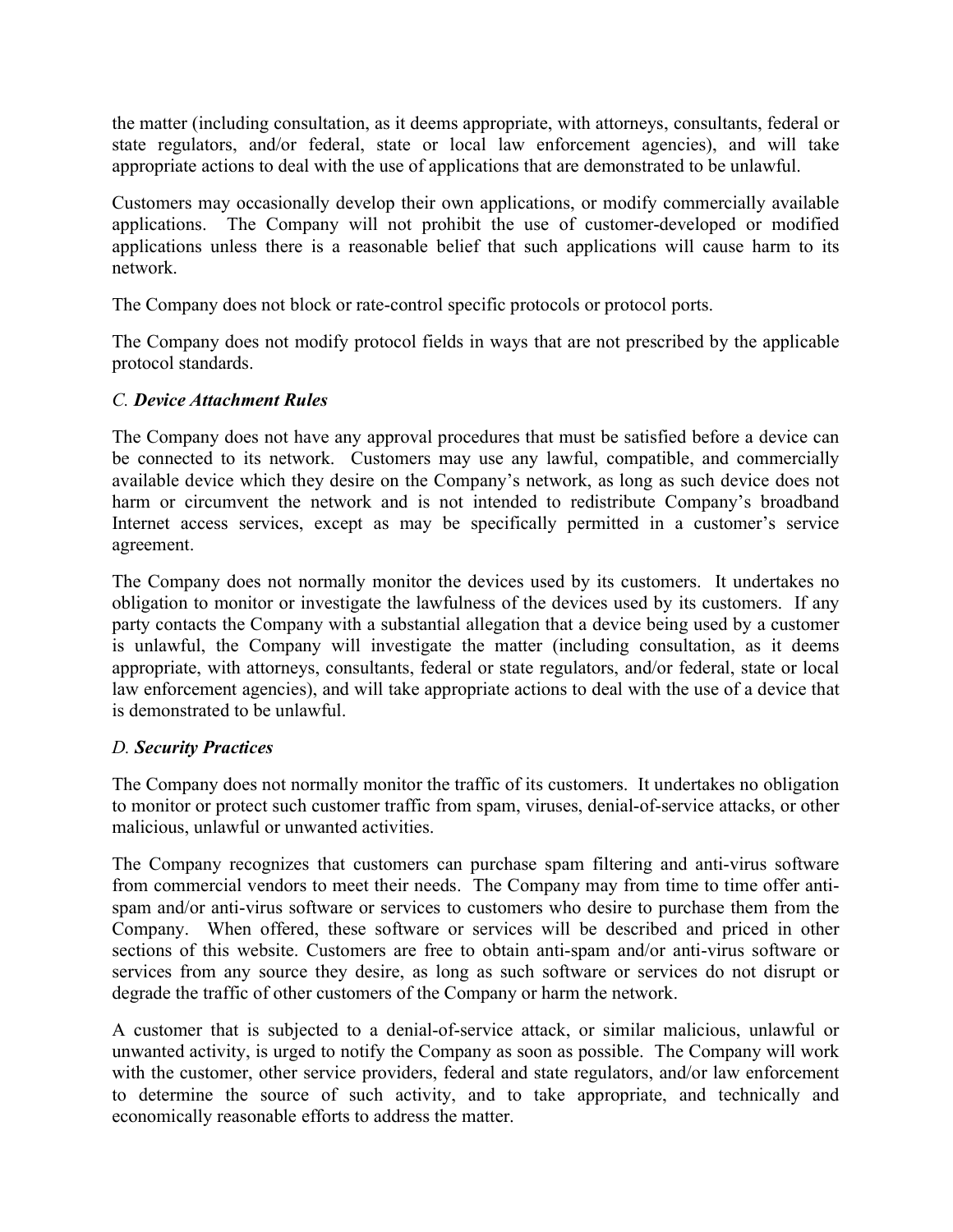the matter (including consultation, as it deems appropriate, with attorneys, consultants, federal or state regulators, and/or federal, state or local law enforcement agencies), and will take appropriate actions to deal with the use of applications that are demonstrated to be unlawful.

Customers may occasionally develop their own applications, or modify commercially available applications. The Company will not prohibit the use of customer-developed or modified applications unless there is a reasonable belief that such applications will cause harm to its network.

The Company does not block or rate-control specific protocols or protocol ports.

The Company does not modify protocol fields in ways that are not prescribed by the applicable protocol standards.

#### C. Device Attachment Rules

The Company does not have any approval procedures that must be satisfied before a device can be connected to its network. Customers may use any lawful, compatible, and commercially available device which they desire on the Company's network, as long as such device does not harm or circumvent the network and is not intended to redistribute Company's broadband Internet access services, except as may be specifically permitted in a customer's service agreement.

The Company does not normally monitor the devices used by its customers. It undertakes no obligation to monitor or investigate the lawfulness of the devices used by its customers. If any party contacts the Company with a substantial allegation that a device being used by a customer is unlawful, the Company will investigate the matter (including consultation, as it deems appropriate, with attorneys, consultants, federal or state regulators, and/or federal, state or local law enforcement agencies), and will take appropriate actions to deal with the use of a device that is demonstrated to be unlawful.

## D. Security Practices

The Company does not normally monitor the traffic of its customers. It undertakes no obligation to monitor or protect such customer traffic from spam, viruses, denial-of-service attacks, or other malicious, unlawful or unwanted activities.

The Company recognizes that customers can purchase spam filtering and anti-virus software from commercial vendors to meet their needs. The Company may from time to time offer antispam and/or anti-virus software or services to customers who desire to purchase them from the Company. When offered, these software or services will be described and priced in other sections of this website. Customers are free to obtain anti-spam and/or anti-virus software or services from any source they desire, as long as such software or services do not disrupt or degrade the traffic of other customers of the Company or harm the network.

A customer that is subjected to a denial-of-service attack, or similar malicious, unlawful or unwanted activity, is urged to notify the Company as soon as possible. The Company will work with the customer, other service providers, federal and state regulators, and/or law enforcement to determine the source of such activity, and to take appropriate, and technically and economically reasonable efforts to address the matter.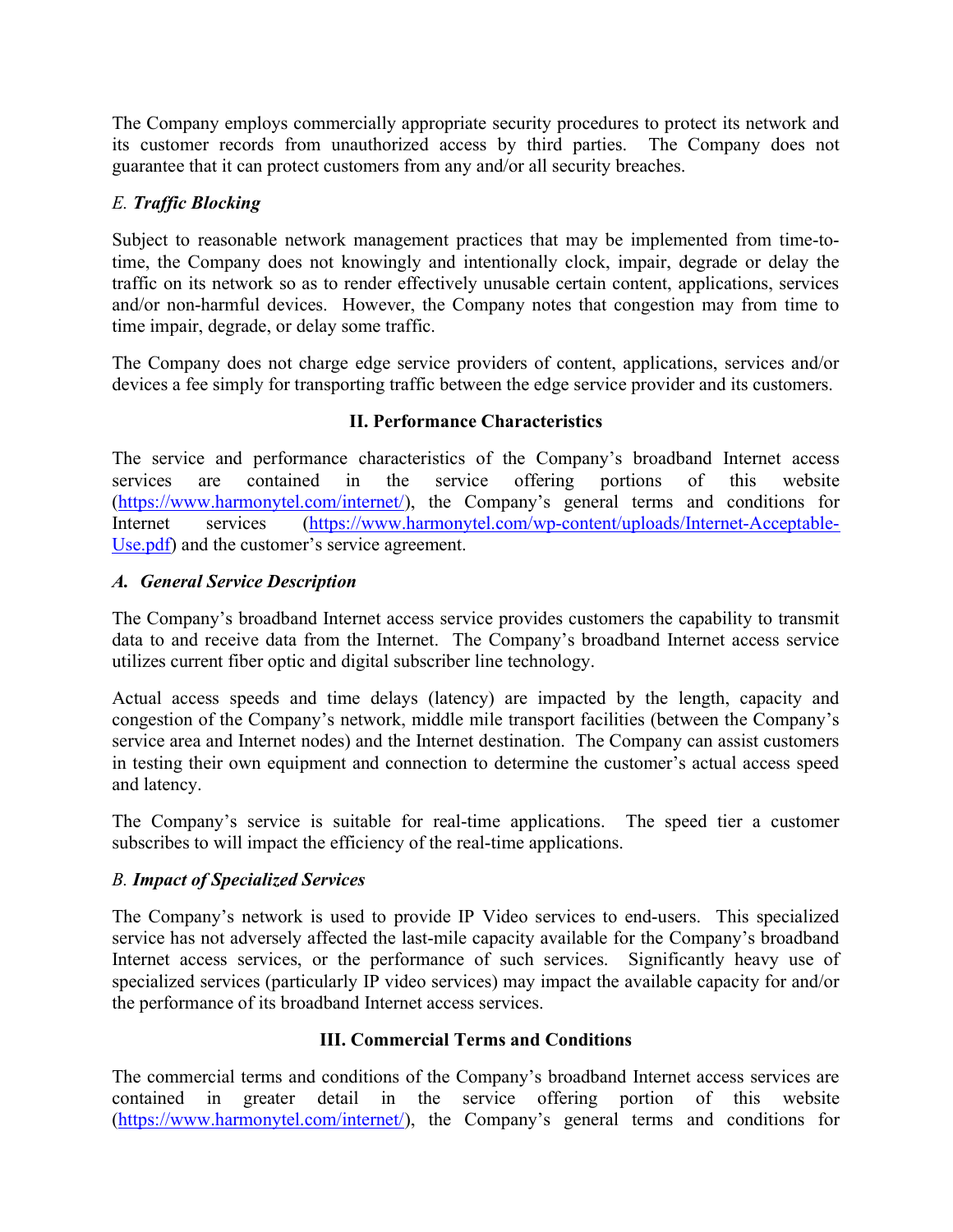The Company employs commercially appropriate security procedures to protect its network and its customer records from unauthorized access by third parties. The Company does not guarantee that it can protect customers from any and/or all security breaches.

# E. Traffic Blocking

Subject to reasonable network management practices that may be implemented from time-totime, the Company does not knowingly and intentionally clock, impair, degrade or delay the traffic on its network so as to render effectively unusable certain content, applications, services and/or non-harmful devices. However, the Company notes that congestion may from time to time impair, degrade, or delay some traffic.

The Company does not charge edge service providers of content, applications, services and/or devices a fee simply for transporting traffic between the edge service provider and its customers.

## II. Performance Characteristics

The service and performance characteristics of the Company's broadband Internet access services are contained in the service offering portions of this website (https://www.harmonytel.com/internet/), the Company's general terms and conditions for Internet services (https://www.harmonytel.com/wp-content/uploads/Internet-Acceptable-Use.pdf) and the customer's service agreement.

## A. General Service Description

The Company's broadband Internet access service provides customers the capability to transmit data to and receive data from the Internet. The Company's broadband Internet access service utilizes current fiber optic and digital subscriber line technology.

Actual access speeds and time delays (latency) are impacted by the length, capacity and congestion of the Company's network, middle mile transport facilities (between the Company's service area and Internet nodes) and the Internet destination. The Company can assist customers in testing their own equipment and connection to determine the customer's actual access speed and latency.

The Company's service is suitable for real-time applications. The speed tier a customer subscribes to will impact the efficiency of the real-time applications.

## B. Impact of Specialized Services

The Company's network is used to provide IP Video services to end-users. This specialized service has not adversely affected the last-mile capacity available for the Company's broadband Internet access services, or the performance of such services. Significantly heavy use of specialized services (particularly IP video services) may impact the available capacity for and/or the performance of its broadband Internet access services.

## III. Commercial Terms and Conditions

The commercial terms and conditions of the Company's broadband Internet access services are contained in greater detail in the service offering portion of this website (https://www.harmonytel.com/internet/), the Company's general terms and conditions for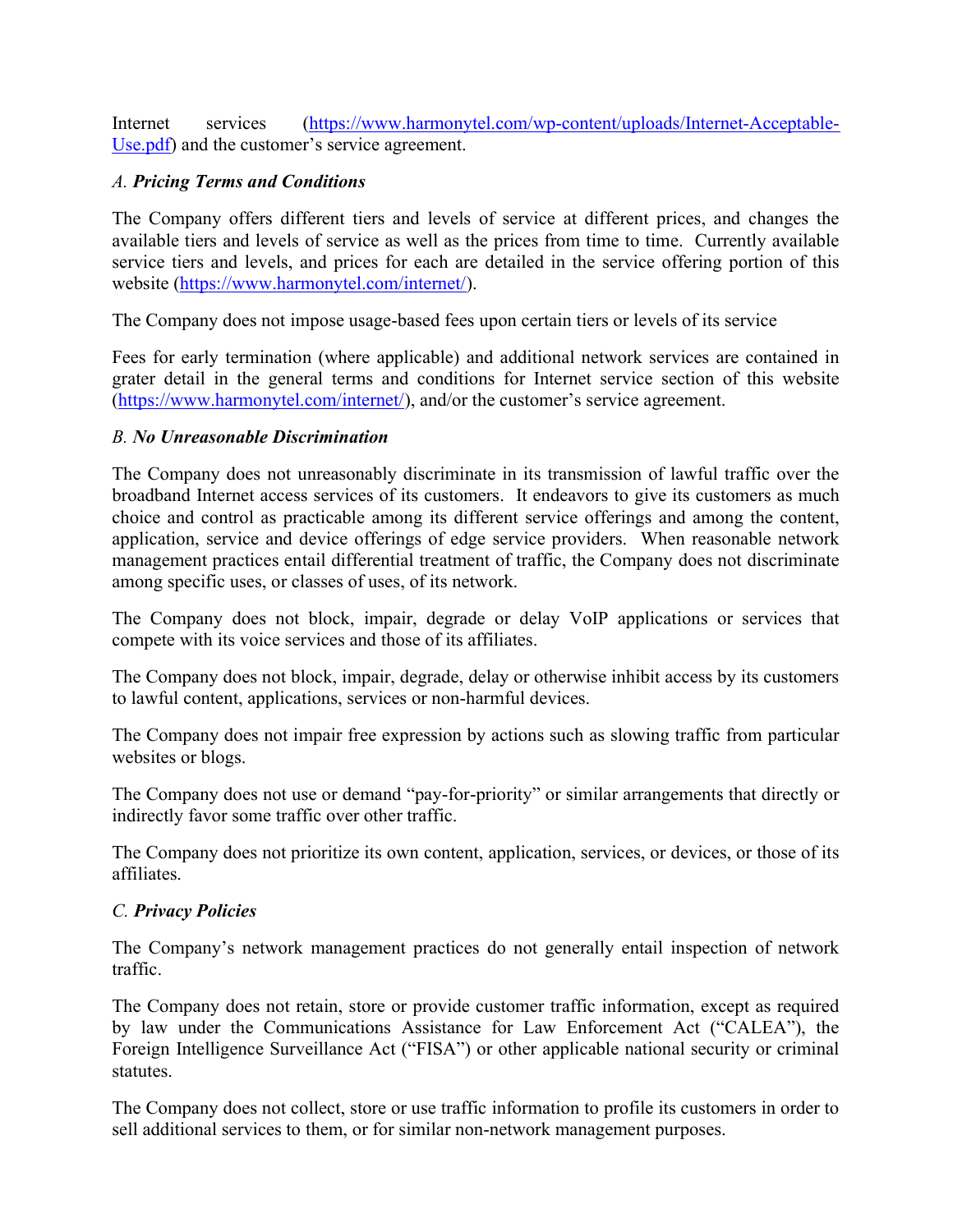Internet services (https://www.harmonytel.com/wp-content/uploads/Internet-Acceptable-Use.pdf) and the customer's service agreement.

## A. Pricing Terms and Conditions

The Company offers different tiers and levels of service at different prices, and changes the available tiers and levels of service as well as the prices from time to time. Currently available service tiers and levels, and prices for each are detailed in the service offering portion of this website (https://www.harmonytel.com/internet/).

The Company does not impose usage-based fees upon certain tiers or levels of its service

Fees for early termination (where applicable) and additional network services are contained in grater detail in the general terms and conditions for Internet service section of this website (https://www.harmonytel.com/internet/), and/or the customer's service agreement.

## B. No Unreasonable Discrimination

The Company does not unreasonably discriminate in its transmission of lawful traffic over the broadband Internet access services of its customers. It endeavors to give its customers as much choice and control as practicable among its different service offerings and among the content, application, service and device offerings of edge service providers. When reasonable network management practices entail differential treatment of traffic, the Company does not discriminate among specific uses, or classes of uses, of its network.

The Company does not block, impair, degrade or delay VoIP applications or services that compete with its voice services and those of its affiliates.

The Company does not block, impair, degrade, delay or otherwise inhibit access by its customers to lawful content, applications, services or non-harmful devices.

The Company does not impair free expression by actions such as slowing traffic from particular websites or blogs.

The Company does not use or demand "pay-for-priority" or similar arrangements that directly or indirectly favor some traffic over other traffic.

The Company does not prioritize its own content, application, services, or devices, or those of its affiliates.

## C. Privacy Policies

The Company's network management practices do not generally entail inspection of network traffic.

The Company does not retain, store or provide customer traffic information, except as required by law under the Communications Assistance for Law Enforcement Act ("CALEA"), the Foreign Intelligence Surveillance Act ("FISA") or other applicable national security or criminal statutes.

The Company does not collect, store or use traffic information to profile its customers in order to sell additional services to them, or for similar non-network management purposes.